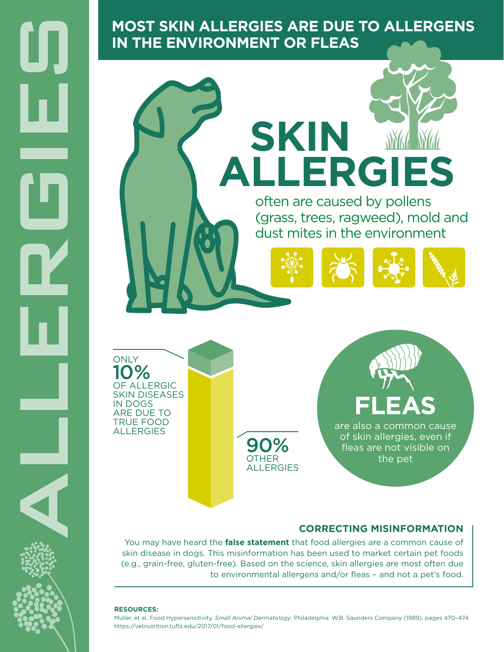**IN THE ENVIRONMENT OR FLEAS**



10% OF ALLERGIC SKIN DISEASES IN DOGS ARE DUE TO TRUE FOOD ALLERGIES

**ONLY** 

90% **OTHER** ALLERGIES are also a common cause **FLEAS**

of skin allergies, even if fleas are not visible on the pet

## **CORRECTING MISINFORMATION**

You may have heard the **false statement** that food allergies are a common cause of skin disease in dogs. This misinformation has been used to market certain pet foods (e.g., grain-free, gluten-free). Based on the science, skin allergies are most often due to environmental allergens and/or fleas – and not a pet's food.

#### **RESOURCES:**

Muller, et al. Food Hypersensitivity. *Small Animal Dermatology*. Philadelphia: W.B. Saunders Company (1989), pages 470–474 https://vetnutrition.tufts.edu/2017/01/food-allergies/